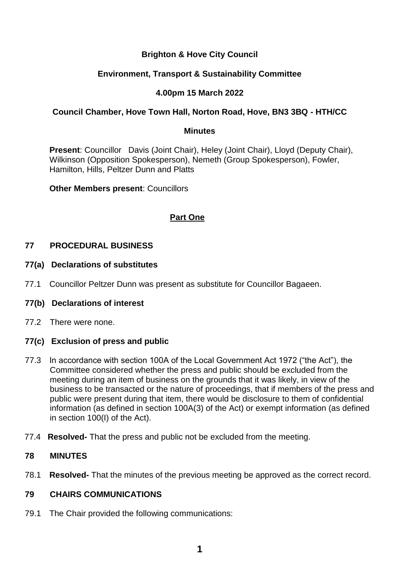# **Brighton & Hove City Council**

## **Environment, Transport & Sustainability Committee**

# **4.00pm 15 March 2022**

### **Council Chamber, Hove Town Hall, Norton Road, Hove, BN3 3BQ - HTH/CC**

#### **Minutes**

**Present**: Councillor Davis (Joint Chair), Heley (Joint Chair), Lloyd (Deputy Chair), Wilkinson (Opposition Spokesperson), Nemeth (Group Spokesperson), Fowler, Hamilton, Hills, Peltzer Dunn and Platts

**Other Members present**: Councillors

# **Part One**

## **77 PROCEDURAL BUSINESS**

#### **77(a) Declarations of substitutes**

77.1 Councillor Peltzer Dunn was present as substitute for Councillor Bagaeen.

#### **77(b) Declarations of interest**

77.2 There were none.

### **77(c) Exclusion of press and public**

- 77.3 In accordance with section 100A of the Local Government Act 1972 ("the Act"), the Committee considered whether the press and public should be excluded from the meeting during an item of business on the grounds that it was likely, in view of the business to be transacted or the nature of proceedings, that if members of the press and public were present during that item, there would be disclosure to them of confidential information (as defined in section 100A(3) of the Act) or exempt information (as defined in section 100(I) of the Act).
- 77.4 **Resolved-** That the press and public not be excluded from the meeting.

### **78 MINUTES**

78.1 **Resolved-** That the minutes of the previous meeting be approved as the correct record.

### **79 CHAIRS COMMUNICATIONS**

79.1 The Chair provided the following communications: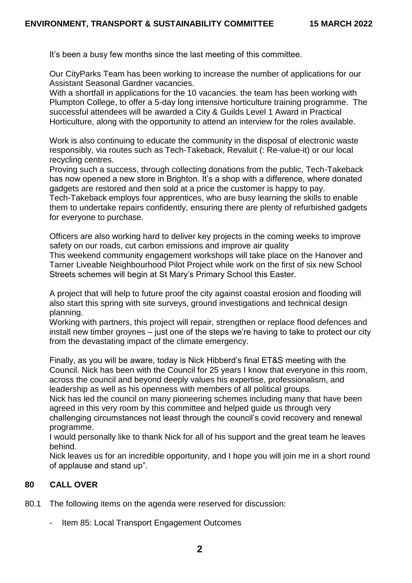It's been a busy few months since the last meeting of this committee.

Our CityParks Team has been working to increase the number of applications for our Assistant Seasonal Gardner vacancies.

With a shortfall in applications for the 10 vacancies. the team has been working with Plumpton College, to offer a 5-day long intensive horticulture training programme. The successful attendees will be awarded a City & Guilds Level 1 Award in Practical Horticulture, along with the opportunity to attend an interview for the roles available.

Work is also continuing to educate the community in the disposal of electronic waste responsibly, via routes such as Tech-Takeback, Revaluit (: Re-value-it) or our local recycling centres.

Proving such a success, through collecting donations from the public, Tech-Takeback has now opened a new store in Brighton. It's a shop with a difference, where donated gadgets are restored and then sold at a price the customer is happy to pay.

Tech-Takeback employs four apprentices, who are busy learning the skills to enable them to undertake repairs confidently, ensuring there are plenty of refurbished gadgets for everyone to purchase.

Officers are also working hard to deliver key projects in the coming weeks to improve safety on our roads, cut carbon emissions and improve air quality

This weekend community engagement workshops will take place on the Hanover and Tarner Liveable Neighbourhood Pilot Project while work on the first of six new School Streets schemes will begin at St Mary's Primary School this Easter.

A project that will help to future proof the city against coastal erosion and flooding will also start this spring with site surveys, ground investigations and technical design planning.

Working with partners, this project will repair, strengthen or replace flood defences and install new timber groynes – just one of the steps we're having to take to protect our city from the devastating impact of the climate emergency.

Finally, as you will be aware, today is Nick Hibberd's final ET&S meeting with the Council. Nick has been with the Council for 25 years I know that everyone in this room, across the council and beyond deeply values his expertise, professionalism, and leadership as well as his openness with members of all political groups.

Nick has led the council on many pioneering schemes including many that have been agreed in this very room by this committee and helped guide us through very challenging circumstances not least through the council's covid recovery and renewal

programme.

I would personally like to thank Nick for all of his support and the great team he leaves behind.

Nick leaves us for an incredible opportunity, and I hope you will join me in a short round of applause and stand up".

### **80 CALL OVER**

- 80.1 The following items on the agenda were reserved for discussion:
	- Item 85: Local Transport Engagement Outcomes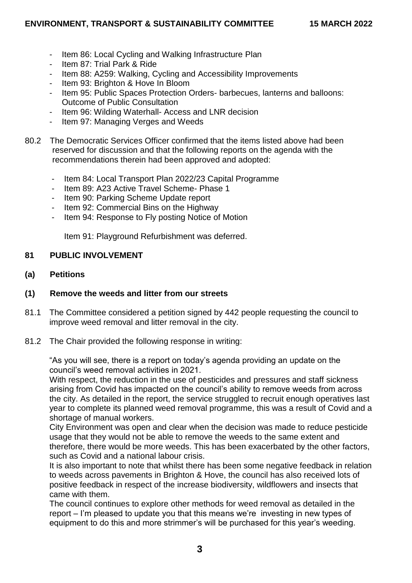- Item 86: Local Cycling and Walking Infrastructure Plan
- Item 87: Trial Park & Ride
- Item 88: A259: Walking, Cycling and Accessibility Improvements
- Item 93: Brighton & Hove In Bloom
- Item 95: Public Spaces Protection Orders- barbecues, lanterns and balloons: Outcome of Public Consultation
- Item 96: Wilding Waterhall- Access and LNR decision
- Item 97: Managing Verges and Weeds
- 80.2 The Democratic Services Officer confirmed that the items listed above had been reserved for discussion and that the following reports on the agenda with the recommendations therein had been approved and adopted:
	- Item 84: Local Transport Plan 2022/23 Capital Programme
	- Item 89: A23 Active Travel Scheme- Phase 1
	- Item 90: Parking Scheme Update report
	- Item 92: Commercial Bins on the Highway
	- Item 94: Response to Fly posting Notice of Motion

Item 91: Playground Refurbishment was deferred.

## **81 PUBLIC INVOLVEMENT**

**(a) Petitions**

# **(1) Remove the weeds and litter from our streets**

- 81.1 The Committee considered a petition signed by 442 people requesting the council to improve weed removal and litter removal in the city.
- 81.2 The Chair provided the following response in writing:

"As you will see, there is a report on today's agenda providing an update on the council's weed removal activities in 2021.

With respect, the reduction in the use of pesticides and pressures and staff sickness arising from Covid has impacted on the council's ability to remove weeds from across the city. As detailed in the report, the service struggled to recruit enough operatives last year to complete its planned weed removal programme, this was a result of Covid and a shortage of manual workers.

City Environment was open and clear when the decision was made to reduce pesticide usage that they would not be able to remove the weeds to the same extent and therefore, there would be more weeds. This has been exacerbated by the other factors, such as Covid and a national labour crisis.

It is also important to note that whilst there has been some negative feedback in relation to weeds across pavements in Brighton & Hove, the council has also received lots of positive feedback in respect of the increase biodiversity, wildflowers and insects that came with them.

The council continues to explore other methods for weed removal as detailed in the report – I'm pleased to update you that this means we're investing in new types of equipment to do this and more strimmer's will be purchased for this year's weeding.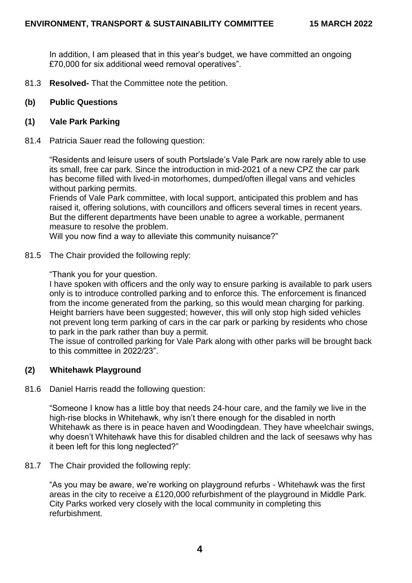In addition, I am pleased that in this year's budget, we have committed an ongoing £70,000 for six additional weed removal operatives".

81.3 **Resolved-** That the Committee note the petition.

### **(b) Public Questions**

### **(1) Vale Park Parking**

81.4 Patricia Sauer read the following question:

"Residents and leisure users of south Portslade's Vale Park are now rarely able to use its small, free car park. Since the introduction in mid-2021 of a new CPZ the car park has become filled with lived-in motorhomes, dumped/often illegal vans and vehicles without parking permits.

Friends of Vale Park committee, with local support, anticipated this problem and has raised it, offering solutions, with councillors and officers several times in recent years. But the different departments have been unable to agree a workable, permanent measure to resolve the problem.

Will you now find a way to alleviate this community nuisance?"

81.5 The Chair provided the following reply:

"Thank you for your question.

I have spoken with officers and the only way to ensure parking is available to park users only is to introduce controlled parking and to enforce this. The enforcement is financed from the income generated from the parking, so this would mean charging for parking. Height barriers have been suggested; however, this will only stop high sided vehicles not prevent long term parking of cars in the car park or parking by residents who chose to park in the park rather than buy a permit.

The issue of controlled parking for Vale Park along with other parks will be brought back to this committee in 2022/23".

### **(2) Whitehawk Playground**

81.6 Daniel Harris readd the following question:

"Someone I know has a little boy that needs 24-hour care, and the family we live in the high-rise blocks in Whitehawk, why isn't there enough for the disabled in north Whitehawk as there is in peace haven and Woodingdean. They have wheelchair swings, why doesn't Whitehawk have this for disabled children and the lack of seesaws why has it been left for this long neglected?"

81.7 The Chair provided the following reply:

"As you may be aware, we're working on playground refurbs - Whitehawk was the first areas in the city to receive a £120,000 refurbishment of the playground in Middle Park. City Parks worked very closely with the local community in completing this refurbishment.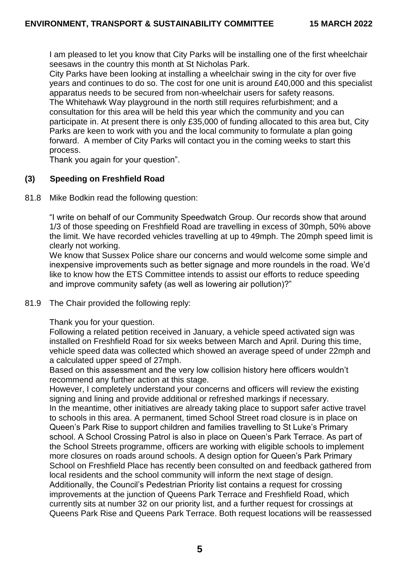I am pleased to let you know that City Parks will be installing one of the first wheelchair seesaws in the country this month at St Nicholas Park.

City Parks have been looking at installing a wheelchair swing in the city for over five years and continues to do so. The cost for one unit is around £40,000 and this specialist apparatus needs to be secured from non-wheelchair users for safety reasons.

The Whitehawk Way playground in the north still requires refurbishment; and a consultation for this area will be held this year which the community and you can participate in. At present there is only £35,000 of funding allocated to this area but, City Parks are keen to work with you and the local community to formulate a plan going forward. A member of City Parks will contact you in the coming weeks to start this process.

Thank you again for your question".

# **(3) Speeding on Freshfield Road**

81.8 Mike Bodkin read the following question:

"I write on behalf of our Community Speedwatch Group. Our records show that around 1/3 of those speeding on Freshfield Road are travelling in excess of 30mph, 50% above the limit. We have recorded vehicles travelling at up to 49mph. The 20mph speed limit is clearly not working.

We know that Sussex Police share our concerns and would welcome some simple and inexpensive improvements such as better signage and more roundels in the road. We'd like to know how the ETS Committee intends to assist our efforts to reduce speeding and improve community safety (as well as lowering air pollution)?"

### 81.9 The Chair provided the following reply:

Thank you for your question.

Following a related petition received in January, a vehicle speed activated sign was installed on Freshfield Road for six weeks between March and April. During this time, vehicle speed data was collected which showed an average speed of under 22mph and a calculated upper speed of 27mph.

Based on this assessment and the very low collision history here officers wouldn't recommend any further action at this stage.

However, I completely understand your concerns and officers will review the existing signing and lining and provide additional or refreshed markings if necessary. In the meantime, other initiatives are already taking place to support safer active travel to schools in this area. A permanent, timed School Street road closure is in place on Queen's Park Rise to support children and families travelling to St Luke's Primary school. A School Crossing Patrol is also in place on Queen's Park Terrace. As part of the School Streets programme, officers are working with eligible schools to implement more closures on roads around schools. A design option for Queen's Park Primary School on Freshfield Place has recently been consulted on and feedback gathered from local residents and the school community will inform the next stage of design. Additionally, the Council's Pedestrian Priority list contains a request for crossing improvements at the junction of Queens Park Terrace and Freshfield Road, which currently sits at number 32 on our priority list, and a further request for crossings at Queens Park Rise and Queens Park Terrace. Both request locations will be reassessed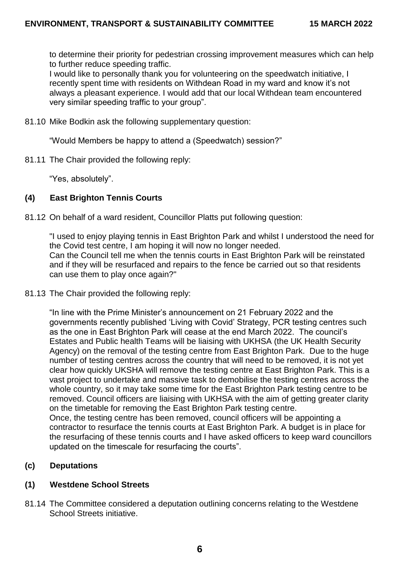to determine their priority for pedestrian crossing improvement measures which can help to further reduce speeding traffic.

I would like to personally thank you for volunteering on the speedwatch initiative, I recently spent time with residents on Withdean Road in my ward and know it's not always a pleasant experience. I would add that our local Withdean team encountered very similar speeding traffic to your group".

81.10 Mike Bodkin ask the following supplementary question:

"Would Members be happy to attend a (Speedwatch) session?"

81.11 The Chair provided the following reply:

"Yes, absolutely".

# **(4) East Brighton Tennis Courts**

81.12 On behalf of a ward resident, Councillor Platts put following question:

"I used to enjoy playing tennis in East Brighton Park and whilst I understood the need for the Covid test centre, I am hoping it will now no longer needed. Can the Council tell me when the tennis courts in East Brighton Park will be reinstated and if they will be resurfaced and repairs to the fence be carried out so that residents can use them to play once again?"

81.13 The Chair provided the following reply:

"In line with the Prime Minister's announcement on 21 February 2022 and the governments recently published 'Living with Covid' Strategy, PCR testing centres such as the one in East Brighton Park will cease at the end March 2022. The council's Estates and Public health Teams will be liaising with UKHSA (the UK Health Security Agency) on the removal of the testing centre from East Brighton Park. Due to the huge number of testing centres across the country that will need to be removed, it is not yet clear how quickly UKSHA will remove the testing centre at East Brighton Park. This is a vast project to undertake and massive task to demobilise the testing centres across the whole country, so it may take some time for the East Brighton Park testing centre to be removed. Council officers are liaising with UKHSA with the aim of getting greater clarity on the timetable for removing the East Brighton Park testing centre. Once, the testing centre has been removed, council officers will be appointing a

contractor to resurface the tennis courts at East Brighton Park. A budget is in place for the resurfacing of these tennis courts and I have asked officers to keep ward councillors updated on the timescale for resurfacing the courts".

# **(c) Deputations**

### **(1) Westdene School Streets**

81.14 The Committee considered a deputation outlining concerns relating to the Westdene School Streets initiative.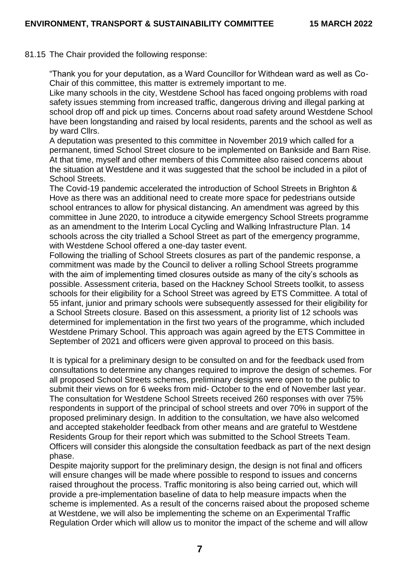#### 81.15 The Chair provided the following response:

"Thank you for your deputation, as a Ward Councillor for Withdean ward as well as Co-Chair of this committee, this matter is extremely important to me.

Like many schools in the city, Westdene School has faced ongoing problems with road safety issues stemming from increased traffic, dangerous driving and illegal parking at school drop off and pick up times. Concerns about road safety around Westdene School have been longstanding and raised by local residents, parents and the school as well as by ward Cllrs.

A deputation was presented to this committee in November 2019 which called for a permanent, timed School Street closure to be implemented on Bankside and Barn Rise. At that time, myself and other members of this Committee also raised concerns about the situation at Westdene and it was suggested that the school be included in a pilot of School Streets.

The Covid-19 pandemic accelerated the introduction of School Streets in Brighton & Hove as there was an additional need to create more space for pedestrians outside school entrances to allow for physical distancing. An amendment was agreed by this committee in June 2020, to introduce a citywide emergency School Streets programme as an amendment to the Interim Local Cycling and Walking Infrastructure Plan. 14 schools across the city trialled a School Street as part of the emergency programme, with Westdene School offered a one-day taster event.

Following the trialling of School Streets closures as part of the pandemic response, a commitment was made by the Council to deliver a rolling School Streets programme with the aim of implementing timed closures outside as many of the city's schools as possible. Assessment criteria, based on the Hackney School Streets toolkit, to assess schools for their eligibility for a School Street was agreed by ETS Committee. A total of 55 infant, junior and primary schools were subsequently assessed for their eligibility for a School Streets closure. Based on this assessment, a priority list of 12 schools was determined for implementation in the first two years of the programme, which included Westdene Primary School. This approach was again agreed by the ETS Committee in September of 2021 and officers were given approval to proceed on this basis.

It is typical for a preliminary design to be consulted on and for the feedback used from consultations to determine any changes required to improve the design of schemes. For all proposed School Streets schemes, preliminary designs were open to the public to submit their views on for 6 weeks from mid- October to the end of November last year. The consultation for Westdene School Streets received 260 responses with over 75% respondents in support of the principal of school streets and over 70% in support of the proposed preliminary design. In addition to the consultation, we have also welcomed and accepted stakeholder feedback from other means and are grateful to Westdene Residents Group for their report which was submitted to the School Streets Team. Officers will consider this alongside the consultation feedback as part of the next design phase.

Despite majority support for the preliminary design, the design is not final and officers will ensure changes will be made where possible to respond to issues and concerns raised throughout the process. Traffic monitoring is also being carried out, which will provide a pre-implementation baseline of data to help measure impacts when the scheme is implemented. As a result of the concerns raised about the proposed scheme at Westdene, we will also be implementing the scheme on an Experimental Traffic Regulation Order which will allow us to monitor the impact of the scheme and will allow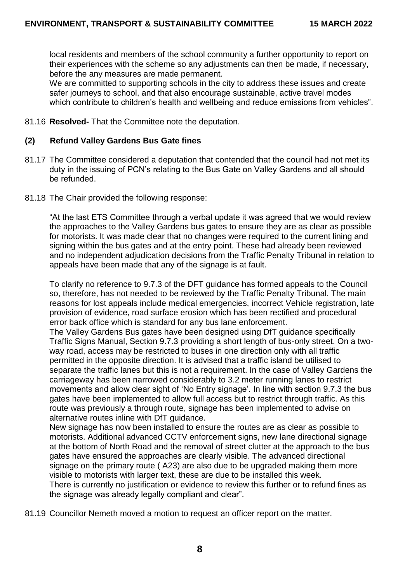local residents and members of the school community a further opportunity to report on their experiences with the scheme so any adjustments can then be made, if necessary, before the any measures are made permanent.

We are committed to supporting schools in the city to address these issues and create safer journeys to school, and that also encourage sustainable, active travel modes which contribute to children's health and wellbeing and reduce emissions from vehicles".

81.16 **Resolved-** That the Committee note the deputation.

## **(2) Refund Valley Gardens Bus Gate fines**

- 81.17 The Committee considered a deputation that contended that the council had not met its duty in the issuing of PCN's relating to the Bus Gate on Valley Gardens and all should be refunded.
- 81.18 The Chair provided the following response:

"At the last ETS Committee through a verbal update it was agreed that we would review the approaches to the Valley Gardens bus gates to ensure they are as clear as possible for motorists. It was made clear that no changes were required to the current lining and signing within the bus gates and at the entry point. These had already been reviewed and no independent adjudication decisions from the Traffic Penalty Tribunal in relation to appeals have been made that any of the signage is at fault.

To clarify no reference to 9.7.3 of the DFT guidance has formed appeals to the Council so, therefore, has not needed to be reviewed by the Traffic Penalty Tribunal. The main reasons for lost appeals include medical emergencies, incorrect Vehicle registration, late provision of evidence, road surface erosion which has been rectified and procedural error back office which is standard for any bus lane enforcement.

The Valley Gardens Bus gates have been designed using DfT guidance specifically Traffic Signs Manual, Section 9.7.3 providing a short length of bus-only street. On a twoway road, access may be restricted to buses in one direction only with all traffic permitted in the opposite direction. It is advised that a traffic island be utilised to separate the traffic lanes but this is not a requirement. In the case of Valley Gardens the carriageway has been narrowed considerably to 3.2 meter running lanes to restrict movements and allow clear sight of 'No Entry signage'. In line with section 9.7.3 the bus gates have been implemented to allow full access but to restrict through traffic. As this route was previously a through route, signage has been implemented to advise on alternative routes inline with DfT guidance.

New signage has now been installed to ensure the routes are as clear as possible to motorists. Additional advanced CCTV enforcement signs, new lane directional signage at the bottom of North Road and the removal of street clutter at the approach to the bus gates have ensured the approaches are clearly visible. The advanced directional signage on the primary route ( A23) are also due to be upgraded making them more visible to motorists with larger text, these are due to be installed this week. There is currently no justification or evidence to review this further or to refund fines as the signage was already legally compliant and clear".

81.19 Councillor Nemeth moved a motion to request an officer report on the matter.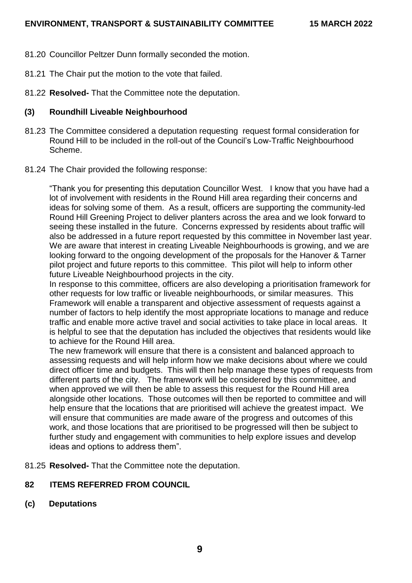- 81.20 Councillor Peltzer Dunn formally seconded the motion.
- 81.21 The Chair put the motion to the vote that failed.
- 81.22 **Resolved-** That the Committee note the deputation.

## **(3) Roundhill Liveable Neighbourhood**

- 81.23 The Committee considered a deputation requesting request formal consideration for Round Hill to be included in the roll-out of the Council's Low-Traffic Neighbourhood Scheme.
- 81.24 The Chair provided the following response:

"Thank you for presenting this deputation Councillor West. I know that you have had a lot of involvement with residents in the Round Hill area regarding their concerns and ideas for solving some of them. As a result, officers are supporting the community-led Round Hill Greening Project to deliver planters across the area and we look forward to seeing these installed in the future. Concerns expressed by residents about traffic will also be addressed in a future report requested by this committee in November last year. We are aware that interest in creating Liveable Neighbourhoods is growing, and we are looking forward to the ongoing development of the proposals for the Hanover & Tarner pilot project and future reports to this committee. This pilot will help to inform other future Liveable Neighbourhood projects in the city.

In response to this committee, officers are also developing a prioritisation framework for other requests for low traffic or liveable neighbourhoods, or similar measures. This Framework will enable a transparent and objective assessment of requests against a number of factors to help identify the most appropriate locations to manage and reduce traffic and enable more active travel and social activities to take place in local areas. It is helpful to see that the deputation has included the objectives that residents would like to achieve for the Round Hill area.

The new framework will ensure that there is a consistent and balanced approach to assessing requests and will help inform how we make decisions about where we could direct officer time and budgets. This will then help manage these types of requests from different parts of the city. The framework will be considered by this committee, and when approved we will then be able to assess this request for the Round Hill area alongside other locations. Those outcomes will then be reported to committee and will help ensure that the locations that are prioritised will achieve the greatest impact. We will ensure that communities are made aware of the progress and outcomes of this work, and those locations that are prioritised to be progressed will then be subject to further study and engagement with communities to help explore issues and develop ideas and options to address them".

81.25 **Resolved-** That the Committee note the deputation.

# **82 ITEMS REFERRED FROM COUNCIL**

**(c) Deputations**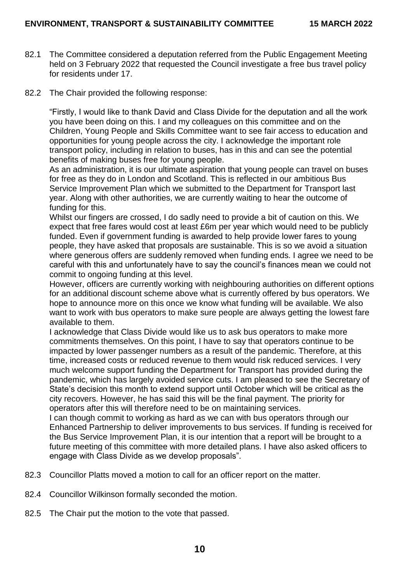- 82.1 The Committee considered a deputation referred from the Public Engagement Meeting held on 3 February 2022 that requested the Council investigate a free bus travel policy for residents under 17.
- 82.2 The Chair provided the following response:

"Firstly, I would like to thank David and Class Divide for the deputation and all the work you have been doing on this. I and my colleagues on this committee and on the Children, Young People and Skills Committee want to see fair access to education and opportunities for young people across the city. I acknowledge the important role transport policy, including in relation to buses, has in this and can see the potential benefits of making buses free for young people.

As an administration, it is our ultimate aspiration that young people can travel on buses for free as they do in London and Scotland. This is reflected in our ambitious Bus Service Improvement Plan which we submitted to the Department for Transport last year. Along with other authorities, we are currently waiting to hear the outcome of funding for this.

Whilst our fingers are crossed, I do sadly need to provide a bit of caution on this. We expect that free fares would cost at least £6m per year which would need to be publicly funded. Even if government funding is awarded to help provide lower fares to young people, they have asked that proposals are sustainable. This is so we avoid a situation where generous offers are suddenly removed when funding ends. I agree we need to be careful with this and unfortunately have to say the council's finances mean we could not commit to ongoing funding at this level.

However, officers are currently working with neighbouring authorities on different options for an additional discount scheme above what is currently offered by bus operators. We hope to announce more on this once we know what funding will be available. We also want to work with bus operators to make sure people are always getting the lowest fare available to them.

I acknowledge that Class Divide would like us to ask bus operators to make more commitments themselves. On this point, I have to say that operators continue to be impacted by lower passenger numbers as a result of the pandemic. Therefore, at this time, increased costs or reduced revenue to them would risk reduced services. I very much welcome support funding the Department for Transport has provided during the pandemic, which has largely avoided service cuts. I am pleased to see the Secretary of State's decision this month to extend support until October which will be critical as the city recovers. However, he has said this will be the final payment. The priority for operators after this will therefore need to be on maintaining services.

I can though commit to working as hard as we can with bus operators through our Enhanced Partnership to deliver improvements to bus services. If funding is received for the Bus Service Improvement Plan, it is our intention that a report will be brought to a future meeting of this committee with more detailed plans. I have also asked officers to engage with Class Divide as we develop proposals".

- 82.3 Councillor Platts moved a motion to call for an officer report on the matter.
- 82.4 Councillor Wilkinson formally seconded the motion.
- 82.5 The Chair put the motion to the vote that passed.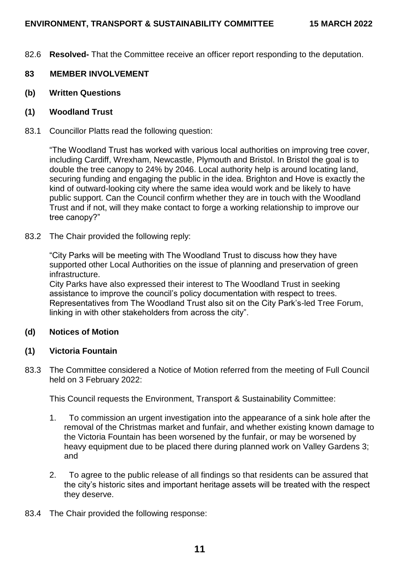82.6 **Resolved-** That the Committee receive an officer report responding to the deputation.

## **83 MEMBER INVOLVEMENT**

- **(b) Written Questions**
- **(1) Woodland Trust**
- 83.1 Councillor Platts read the following question:

"The Woodland Trust has worked with various local authorities on improving tree cover, including Cardiff, Wrexham, Newcastle, Plymouth and Bristol. In Bristol the goal is to double the tree canopy to 24% by 2046. Local authority help is around locating land, securing funding and engaging the public in the idea. Brighton and Hove is exactly the kind of outward-looking city where the same idea would work and be likely to have public support. Can the Council confirm whether they are in touch with the Woodland Trust and if not, will they make contact to forge a working relationship to improve our tree canopy?"

83.2 The Chair provided the following reply:

"City Parks will be meeting with The Woodland Trust to discuss how they have supported other Local Authorities on the issue of planning and preservation of green infrastructure.

City Parks have also expressed their interest to The Woodland Trust in seeking assistance to improve the council's policy documentation with respect to trees. Representatives from The Woodland Trust also sit on the City Park's-led Tree Forum, linking in with other stakeholders from across the city".

### **(d) Notices of Motion**

### **(1) Victoria Fountain**

83.3 The Committee considered a Notice of Motion referred from the meeting of Full Council held on 3 February 2022:

This Council requests the Environment, Transport & Sustainability Committee:

- 1. To commission an urgent investigation into the appearance of a sink hole after the removal of the Christmas market and funfair, and whether existing known damage to the Victoria Fountain has been worsened by the funfair, or may be worsened by heavy equipment due to be placed there during planned work on Valley Gardens 3; and
- 2. To agree to the public release of all findings so that residents can be assured that the city's historic sites and important heritage assets will be treated with the respect they deserve.
- 83.4 The Chair provided the following response: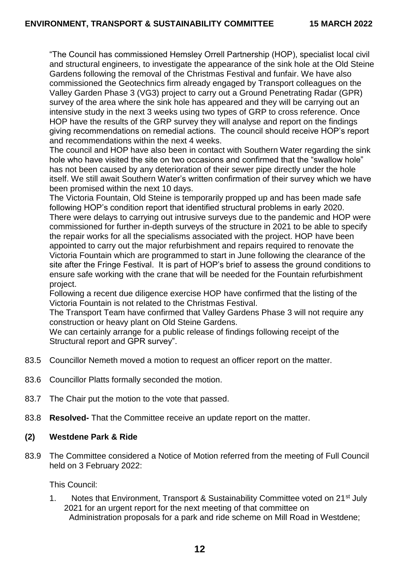"The Council has commissioned Hemsley Orrell Partnership (HOP), specialist local civil and structural engineers, to investigate the appearance of the sink hole at the Old Steine Gardens following the removal of the Christmas Festival and funfair. We have also commissioned the Geotechnics firm already engaged by Transport colleagues on the Valley Garden Phase 3 (VG3) project to carry out a Ground Penetrating Radar (GPR) survey of the area where the sink hole has appeared and they will be carrying out an intensive study in the next 3 weeks using two types of GRP to cross reference. Once HOP have the results of the GRP survey they will analyse and report on the findings giving recommendations on remedial actions. The council should receive HOP's report and recommendations within the next 4 weeks.

The council and HOP have also been in contact with Southern Water regarding the sink hole who have visited the site on two occasions and confirmed that the "swallow hole" has not been caused by any deterioration of their sewer pipe directly under the hole itself. We still await Southern Water's written confirmation of their survey which we have been promised within the next 10 days.

The Victoria Fountain, Old Steine is temporarily propped up and has been made safe following HOP's condition report that identified structural problems in early 2020. There were delays to carrying out intrusive surveys due to the pandemic and HOP were commissioned for further in-depth surveys of the structure in 2021 to be able to specify the repair works for all the specialisms associated with the project. HOP have been appointed to carry out the major refurbishment and repairs required to renovate the Victoria Fountain which are programmed to start in June following the clearance of the site after the Fringe Festival. It is part of HOP's brief to assess the ground conditions to ensure safe working with the crane that will be needed for the Fountain refurbishment project.

Following a recent due diligence exercise HOP have confirmed that the listing of the Victoria Fountain is not related to the Christmas Festival.

The Transport Team have confirmed that Valley Gardens Phase 3 will not require any construction or heavy plant on Old Steine Gardens.

We can certainly arrange for a public release of findings following receipt of the Structural report and GPR survey".

- 83.5 Councillor Nemeth moved a motion to request an officer report on the matter.
- 83.6 Councillor Platts formally seconded the motion.
- 83.7 The Chair put the motion to the vote that passed.
- 83.8 **Resolved-** That the Committee receive an update report on the matter.

#### **(2) Westdene Park & Ride**

83.9 The Committee considered a Notice of Motion referred from the meeting of Full Council held on 3 February 2022:

This Council:

1. Notes that Environment, Transport & Sustainability Committee voted on 21<sup>st</sup> July 2021 for an urgent report for the next meeting of that committee on Administration proposals for a park and ride scheme on Mill Road in Westdene;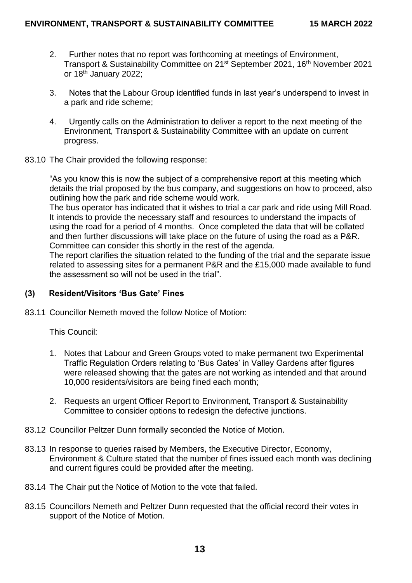- 2. Further notes that no report was forthcoming at meetings of Environment, Transport & Sustainability Committee on 21<sup>st</sup> September 2021, 16<sup>th</sup> November 2021 or 18<sup>th</sup> January 2022:
- 3. Notes that the Labour Group identified funds in last year's underspend to invest in a park and ride scheme;
- 4. Urgently calls on the Administration to deliver a report to the next meeting of the Environment, Transport & Sustainability Committee with an update on current progress.
- 83.10 The Chair provided the following response:

"As you know this is now the subject of a comprehensive report at this meeting which details the trial proposed by the bus company, and suggestions on how to proceed, also outlining how the park and ride scheme would work.

The bus operator has indicated that it wishes to trial a car park and ride using Mill Road. It intends to provide the necessary staff and resources to understand the impacts of using the road for a period of 4 months. Once completed the data that will be collated and then further discussions will take place on the future of using the road as a P&R. Committee can consider this shortly in the rest of the agenda.

The report clarifies the situation related to the funding of the trial and the separate issue related to assessing sites for a permanent P&R and the £15,000 made available to fund the assessment so will not be used in the trial".

### **(3) Resident/Visitors 'Bus Gate' Fines**

83.11 Councillor Nemeth moved the follow Notice of Motion:

This Council:

- 1. Notes that Labour and Green Groups voted to make permanent two Experimental Traffic Regulation Orders relating to 'Bus Gates' in Valley Gardens after figures were released showing that the gates are not working as intended and that around 10,000 residents/visitors are being fined each month;
- 2. Requests an urgent Officer Report to Environment, Transport & Sustainability Committee to consider options to redesign the defective junctions.
- 83.12 Councillor Peltzer Dunn formally seconded the Notice of Motion.
- 83.13 In response to queries raised by Members, the Executive Director, Economy, Environment & Culture stated that the number of fines issued each month was declining and current figures could be provided after the meeting.
- 83.14 The Chair put the Notice of Motion to the vote that failed.
- 83.15 Councillors Nemeth and Peltzer Dunn requested that the official record their votes in support of the Notice of Motion.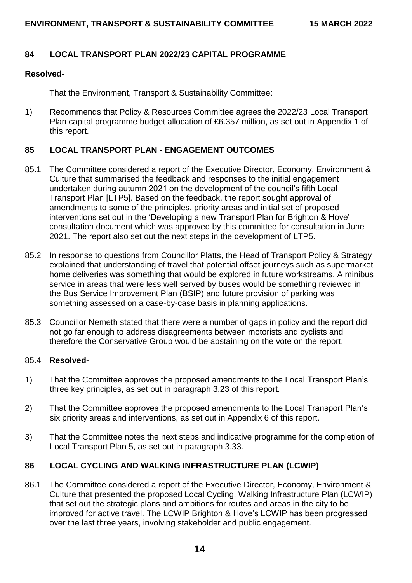## **84 LOCAL TRANSPORT PLAN 2022/23 CAPITAL PROGRAMME**

#### **Resolved-**

### That the Environment, Transport & Sustainability Committee:

1) Recommends that Policy & Resources Committee agrees the 2022/23 Local Transport Plan capital programme budget allocation of £6.357 million, as set out in Appendix 1 of this report.

### **85 LOCAL TRANSPORT PLAN - ENGAGEMENT OUTCOMES**

- 85.1 The Committee considered a report of the Executive Director, Economy, Environment & Culture that summarised the feedback and responses to the initial engagement undertaken during autumn 2021 on the development of the council's fifth Local Transport Plan [LTP5]. Based on the feedback, the report sought approval of amendments to some of the principles, priority areas and initial set of proposed interventions set out in the 'Developing a new Transport Plan for Brighton & Hove' consultation document which was approved by this committee for consultation in June 2021. The report also set out the next steps in the development of LTP5.
- 85.2 In response to questions from Councillor Platts, the Head of Transport Policy & Strategy explained that understanding of travel that potential offset journeys such as supermarket home deliveries was something that would be explored in future workstreams. A minibus service in areas that were less well served by buses would be something reviewed in the Bus Service Improvement Plan (BSIP) and future provision of parking was something assessed on a case-by-case basis in planning applications.
- 85.3 Councillor Nemeth stated that there were a number of gaps in policy and the report did not go far enough to address disagreements between motorists and cyclists and therefore the Conservative Group would be abstaining on the vote on the report.

#### 85.4 **Resolved-**

- 1) That the Committee approves the proposed amendments to the Local Transport Plan's three key principles, as set out in paragraph 3.23 of this report.
- 2) That the Committee approves the proposed amendments to the Local Transport Plan's six priority areas and interventions, as set out in Appendix 6 of this report.
- 3) That the Committee notes the next steps and indicative programme for the completion of Local Transport Plan 5, as set out in paragraph 3.33.

### **86 LOCAL CYCLING AND WALKING INFRASTRUCTURE PLAN (LCWIP)**

86.1 The Committee considered a report of the Executive Director, Economy, Environment & Culture that presented the proposed Local Cycling, Walking Infrastructure Plan (LCWIP) that set out the strategic plans and ambitions for routes and areas in the city to be improved for active travel. The LCWIP Brighton & Hove's LCWIP has been progressed over the last three years, involving stakeholder and public engagement.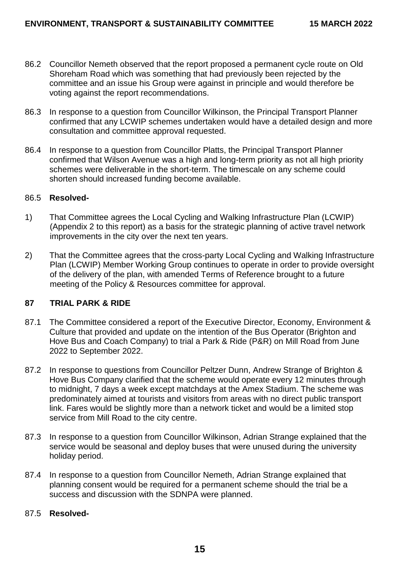- 86.2 Councillor Nemeth observed that the report proposed a permanent cycle route on Old Shoreham Road which was something that had previously been rejected by the committee and an issue his Group were against in principle and would therefore be voting against the report recommendations.
- 86.3 In response to a question from Councillor Wilkinson, the Principal Transport Planner confirmed that any LCWIP schemes undertaken would have a detailed design and more consultation and committee approval requested.
- 86.4 In response to a question from Councillor Platts, the Principal Transport Planner confirmed that Wilson Avenue was a high and long-term priority as not all high priority schemes were deliverable in the short-term. The timescale on any scheme could shorten should increased funding become available.

#### 86.5 **Resolved-**

- 1) That Committee agrees the Local Cycling and Walking Infrastructure Plan (LCWIP) (Appendix 2 to this report) as a basis for the strategic planning of active travel network improvements in the city over the next ten years.
- 2) That the Committee agrees that the cross-party Local Cycling and Walking Infrastructure Plan (LCWIP) Member Working Group continues to operate in order to provide oversight of the delivery of the plan, with amended Terms of Reference brought to a future meeting of the Policy & Resources committee for approval.

### **87 TRIAL PARK & RIDE**

- 87.1 The Committee considered a report of the Executive Director, Economy, Environment & Culture that provided and update on the intention of the Bus Operator (Brighton and Hove Bus and Coach Company) to trial a Park & Ride (P&R) on Mill Road from June 2022 to September 2022.
- 87.2 In response to questions from Councillor Peltzer Dunn, Andrew Strange of Brighton & Hove Bus Company clarified that the scheme would operate every 12 minutes through to midnight, 7 days a week except matchdays at the Amex Stadium. The scheme was predominately aimed at tourists and visitors from areas with no direct public transport link. Fares would be slightly more than a network ticket and would be a limited stop service from Mill Road to the city centre.
- 87.3 In response to a question from Councillor Wilkinson, Adrian Strange explained that the service would be seasonal and deploy buses that were unused during the university holiday period.
- 87.4 In response to a question from Councillor Nemeth, Adrian Strange explained that planning consent would be required for a permanent scheme should the trial be a success and discussion with the SDNPA were planned.

### 87.5 **Resolved-**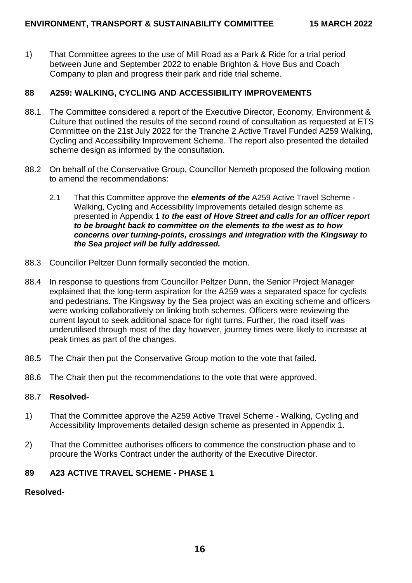1) That Committee agrees to the use of Mill Road as a Park & Ride for a trial period between June and September 2022 to enable Brighton & Hove Bus and Coach Company to plan and progress their park and ride trial scheme.

## **88 A259: WALKING, CYCLING AND ACCESSIBILITY IMPROVEMENTS**

- 88.1 The Committee considered a report of the Executive Director, Economy, Environment & Culture that outlined the results of the second round of consultation as requested at ETS Committee on the 21st July 2022 for the Tranche 2 Active Travel Funded A259 Walking, Cycling and Accessibility Improvement Scheme. The report also presented the detailed scheme design as informed by the consultation.
- 88.2 On behalf of the Conservative Group, Councillor Nemeth proposed the following motion to amend the recommendations:
	- 2.1 That this Committee approve the *elements of the* A259 Active Travel Scheme Walking, Cycling and Accessibility Improvements detailed design scheme as presented in Appendix 1 *to the east of Hove Street and calls for an officer report to be brought back to committee on the elements to the west as to how concerns over turning-points, crossings and integration with the Kingsway to the Sea project will be fully addressed.*
- 88.3 Councillor Peltzer Dunn formally seconded the motion.
- 88.4 In response to questions from Councillor Peltzer Dunn, the Senior Project Manager explained that the long-term aspiration for the A259 was a separated space for cyclists and pedestrians. The Kingsway by the Sea project was an exciting scheme and officers were working collaboratively on linking both schemes. Officers were reviewing the current layout to seek additional space for right turns. Further, the road itself was underutilised through most of the day however, journey times were likely to increase at peak times as part of the changes.
- 88.5 The Chair then put the Conservative Group motion to the vote that failed.
- 88.6 The Chair then put the recommendations to the vote that were approved.

#### 88.7 **Resolved-**

- 1) That the Committee approve the A259 Active Travel Scheme Walking, Cycling and Accessibility Improvements detailed design scheme as presented in Appendix 1.
- 2) That the Committee authorises officers to commence the construction phase and to procure the Works Contract under the authority of the Executive Director.

### **89 A23 ACTIVE TRAVEL SCHEME - PHASE 1**

#### **Resolved-**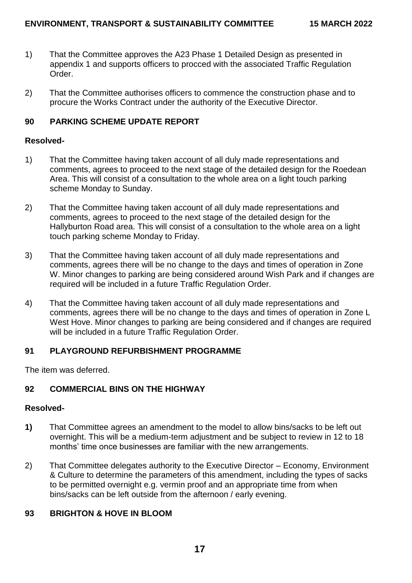- 1) That the Committee approves the A23 Phase 1 Detailed Design as presented in appendix 1 and supports officers to procced with the associated Traffic Regulation Order.
- 2) That the Committee authorises officers to commence the construction phase and to procure the Works Contract under the authority of the Executive Director.

## **90 PARKING SCHEME UPDATE REPORT**

### **Resolved-**

- 1) That the Committee having taken account of all duly made representations and comments, agrees to proceed to the next stage of the detailed design for the Roedean Area. This will consist of a consultation to the whole area on a light touch parking scheme Monday to Sunday.
- 2) That the Committee having taken account of all duly made representations and comments, agrees to proceed to the next stage of the detailed design for the Hallyburton Road area. This will consist of a consultation to the whole area on a light touch parking scheme Monday to Friday.
- 3) That the Committee having taken account of all duly made representations and comments, agrees there will be no change to the days and times of operation in Zone W. Minor changes to parking are being considered around Wish Park and if changes are required will be included in a future Traffic Regulation Order.
- 4) That the Committee having taken account of all duly made representations and comments, agrees there will be no change to the days and times of operation in Zone L West Hove. Minor changes to parking are being considered and if changes are required will be included in a future Traffic Regulation Order.

# **91 PLAYGROUND REFURBISHMENT PROGRAMME**

The item was deferred.

# **92 COMMERCIAL BINS ON THE HIGHWAY**

### **Resolved-**

- **1)** That Committee agrees an amendment to the model to allow bins/sacks to be left out overnight. This will be a medium-term adjustment and be subject to review in 12 to 18 months' time once businesses are familiar with the new arrangements.
- 2) That Committee delegates authority to the Executive Director Economy, Environment & Culture to determine the parameters of this amendment, including the types of sacks to be permitted overnight e.g. vermin proof and an appropriate time from when bins/sacks can be left outside from the afternoon / early evening.

# **93 BRIGHTON & HOVE IN BLOOM**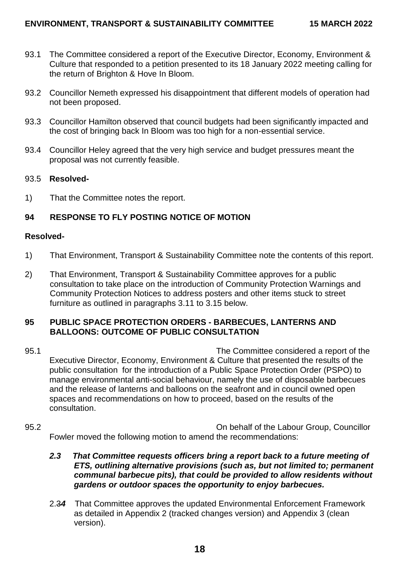- 93.1 The Committee considered a report of the Executive Director, Economy, Environment & Culture that responded to a petition presented to its 18 January 2022 meeting calling for the return of Brighton & Hove In Bloom.
- 93.2 Councillor Nemeth expressed his disappointment that different models of operation had not been proposed.
- 93.3 Councillor Hamilton observed that council budgets had been significantly impacted and the cost of bringing back In Bloom was too high for a non-essential service.
- 93.4 Councillor Heley agreed that the very high service and budget pressures meant the proposal was not currently feasible.

### 93.5 **Resolved-**

1) That the Committee notes the report.

## **94 RESPONSE TO FLY POSTING NOTICE OF MOTION**

#### **Resolved-**

- 1) That Environment, Transport & Sustainability Committee note the contents of this report.
- 2) That Environment, Transport & Sustainability Committee approves for a public consultation to take place on the introduction of Community Protection Warnings and Community Protection Notices to address posters and other items stuck to street furniture as outlined in paragraphs 3.11 to 3.15 below.

### **95 PUBLIC SPACE PROTECTION ORDERS - BARBECUES, LANTERNS AND BALLOONS: OUTCOME OF PUBLIC CONSULTATION**

- 95.1 The Committee considered a report of the Executive Director, Economy, Environment & Culture that presented the results of the public consultation for the introduction of a Public Space Protection Order (PSPO) to manage environmental anti-social behaviour, namely the use of disposable barbecues and the release of lanterns and balloons on the seafront and in council owned open spaces and recommendations on how to proceed, based on the results of the consultation.
- 95.2 On behalf of the Labour Group, Councillor Fowler moved the following motion to amend the recommendations:
	- *2.3 That Committee requests officers bring a report back to a future meeting of ETS, outlining alternative provisions (such as, but not limited to; permanent communal barbecue pits), that could be provided to allow residents without gardens or outdoor spaces the opportunity to enjoy barbecues.*
	- 2.3*4* That Committee approves the updated Environmental Enforcement Framework as detailed in Appendix 2 (tracked changes version) and Appendix 3 (clean version).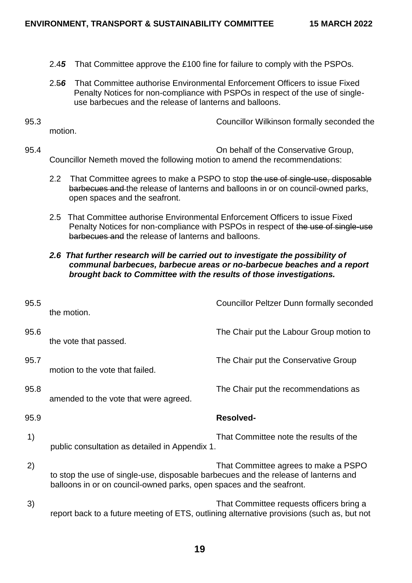- 2.4*5* That Committee approve the £100 fine for failure to comply with the PSPOs.
- 2.5*6* That Committee authorise Environmental Enforcement Officers to issue Fixed Penalty Notices for non-compliance with PSPOs in respect of the use of singleuse barbecues and the release of lanterns and balloons.
- 

motion.

95.3 Councillor Wilkinson formally seconded the

- 95.4 On behalf of the Conservative Group, Councillor Nemeth moved the following motion to amend the recommendations:
	- 2.2 That Committee agrees to make a PSPO to stop the use of single-use, disposable barbecues and the release of lanterns and balloons in or on council-owned parks, open spaces and the seafront.
	- 2.5 That Committee authorise Environmental Enforcement Officers to issue Fixed Penalty Notices for non-compliance with PSPOs in respect of the use of single-use barbecues and the release of lanterns and balloons.

### *2.6 That further research will be carried out to investigate the possibility of communal barbecues, barbecue areas or no-barbecue beaches and a report brought back to Committee with the results of those investigations.*

| 95.5 | the motion.                                                                                                                                                 | <b>Councillor Peltzer Dunn formally seconded</b>                                                                                       |
|------|-------------------------------------------------------------------------------------------------------------------------------------------------------------|----------------------------------------------------------------------------------------------------------------------------------------|
| 95.6 | the vote that passed.                                                                                                                                       | The Chair put the Labour Group motion to                                                                                               |
| 95.7 | motion to the vote that failed.                                                                                                                             | The Chair put the Conservative Group                                                                                                   |
| 95.8 | amended to the vote that were agreed.                                                                                                                       | The Chair put the recommendations as                                                                                                   |
| 95.9 |                                                                                                                                                             | <b>Resolved-</b>                                                                                                                       |
| 1)   | public consultation as detailed in Appendix 1.                                                                                                              | That Committee note the results of the                                                                                                 |
| 2)   | to stop the use of single-use, disposable barbecues and the release of lanterns and<br>balloons in or on council-owned parks, open spaces and the seafront. | That Committee agrees to make a PSPO                                                                                                   |
| 3)   |                                                                                                                                                             | That Committee requests officers bring a<br>report back to a future meeting of ETS, outlining alternative provisions (such as, but not |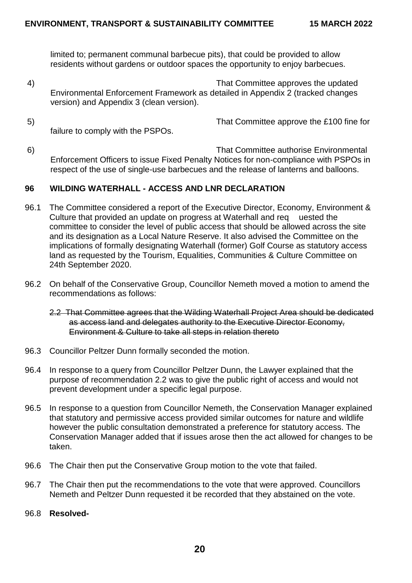limited to; permanent communal barbecue pits), that could be provided to allow residents without gardens or outdoor spaces the opportunity to enjoy barbecues.

- 4) That Committee approves the updated Environmental Enforcement Framework as detailed in Appendix 2 (tracked changes version) and Appendix 3 (clean version).
- 5) That Committee approve the £100 fine for failure to comply with the PSPOs.
- 6) That Committee authorise Environmental Enforcement Officers to issue Fixed Penalty Notices for non-compliance with PSPOs in respect of the use of single-use barbecues and the release of lanterns and balloons.

## **96 WILDING WATERHALL - ACCESS AND LNR DECLARATION**

- 96.1 The Committee considered a report of the Executive Director, Economy, Environment & Culture that provided an update on progress at Waterhall and req uested the committee to consider the level of public access that should be allowed across the site and its designation as a Local Nature Reserve. It also advised the Committee on the implications of formally designating Waterhall (former) Golf Course as statutory access land as requested by the Tourism, Equalities, Communities & Culture Committee on 24th September 2020.
- 96.2 On behalf of the Conservative Group, Councillor Nemeth moved a motion to amend the recommendations as follows:
	- 2.2 That Committee agrees that the Wilding Waterhall Project Area should be dedicated as access land and delegates authority to the Executive Director Economy, Environment & Culture to take all steps in relation thereto
- 96.3 Councillor Peltzer Dunn formally seconded the motion.
- 96.4 In response to a query from Councillor Peltzer Dunn, the Lawyer explained that the purpose of recommendation 2.2 was to give the public right of access and would not prevent development under a specific legal purpose.
- 96.5 In response to a question from Councillor Nemeth, the Conservation Manager explained that statutory and permissive access provided similar outcomes for nature and wildlife however the public consultation demonstrated a preference for statutory access. The Conservation Manager added that if issues arose then the act allowed for changes to be taken.
- 96.6 The Chair then put the Conservative Group motion to the vote that failed.
- 96.7 The Chair then put the recommendations to the vote that were approved. Councillors Nemeth and Peltzer Dunn requested it be recorded that they abstained on the vote.
- 96.8 **Resolved-**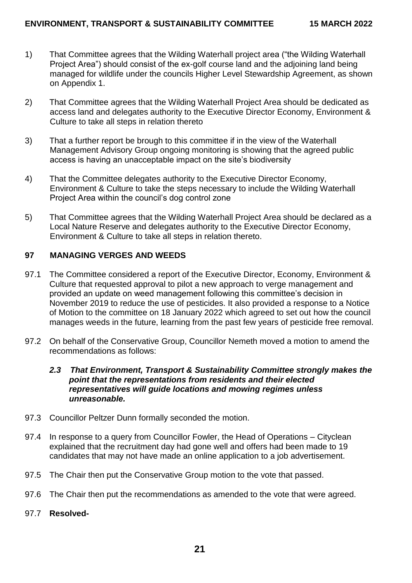- 1) That Committee agrees that the Wilding Waterhall project area ("the Wilding Waterhall Project Area") should consist of the ex-golf course land and the adjoining land being managed for wildlife under the councils Higher Level Stewardship Agreement, as shown on Appendix 1.
- 2) That Committee agrees that the Wilding Waterhall Project Area should be dedicated as access land and delegates authority to the Executive Director Economy, Environment & Culture to take all steps in relation thereto
- 3) That a further report be brough to this committee if in the view of the Waterhall Management Advisory Group ongoing monitoring is showing that the agreed public access is having an unacceptable impact on the site's biodiversity
- 4) That the Committee delegates authority to the Executive Director Economy, Environment & Culture to take the steps necessary to include the Wilding Waterhall Project Area within the council's dog control zone
- 5) That Committee agrees that the Wilding Waterhall Project Area should be declared as a Local Nature Reserve and delegates authority to the Executive Director Economy, Environment & Culture to take all steps in relation thereto.

## **97 MANAGING VERGES AND WEEDS**

- 97.1 The Committee considered a report of the Executive Director, Economy, Environment & Culture that requested approval to pilot a new approach to verge management and provided an update on weed management following this committee's decision in November 2019 to reduce the use of pesticides. It also provided a response to a Notice of Motion to the committee on 18 January 2022 which agreed to set out how the council manages weeds in the future, learning from the past few years of pesticide free removal.
- 97.2 On behalf of the Conservative Group, Councillor Nemeth moved a motion to amend the recommendations as follows:

### *2.3 That Environment, Transport & Sustainability Committee strongly makes the point that the representations from residents and their elected representatives will guide locations and mowing regimes unless unreasonable.*

- 97.3 Councillor Peltzer Dunn formally seconded the motion.
- 97.4 In response to a query from Councillor Fowler, the Head of Operations Cityclean explained that the recruitment day had gone well and offers had been made to 19 candidates that may not have made an online application to a job advertisement.
- 97.5 The Chair then put the Conservative Group motion to the vote that passed.
- 97.6 The Chair then put the recommendations as amended to the vote that were agreed.
- 97.7 **Resolved-**